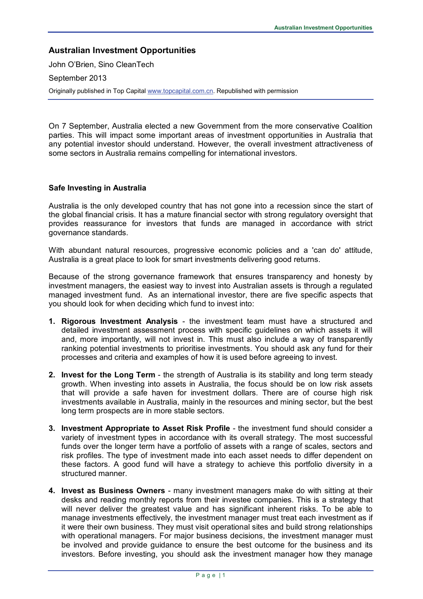# **Australian Investment Opportunities**

John O'Brien, Sino CleanTech

September 2013

Originally published in Top Capita[l www.topcapital.com.cn.](http://www.topcapital.com.cn/) Republished with permission

On 7 September, Australia elected a new Government from the more conservative Coalition parties. This will impact some important areas of investment opportunities in Australia that any potential investor should understand. However, the overall investment attractiveness of some sectors in Australia remains compelling for international investors.

### **Safe Investing in Australia**

Australia is the only developed country that has not gone into a recession since the start of the global financial crisis. It has a mature financial sector with strong regulatory oversight that provides reassurance for investors that funds are managed in accordance with strict governance standards.

With abundant natural resources, progressive economic policies and a 'can do' attitude, Australia is a great place to look for smart investments delivering good returns.

Because of the strong governance framework that ensures transparency and honesty by investment managers, the easiest way to invest into Australian assets is through a regulated managed investment fund. As an international investor, there are five specific aspects that you should look for when deciding which fund to invest into:

- **1. Rigorous Investment Analysis** the investment team must have a structured and detailed investment assessment process with specific guidelines on which assets it will and, more importantly, will not invest in. This must also include a way of transparently ranking potential investments to prioritise investments. You should ask any fund for their processes and criteria and examples of how it is used before agreeing to invest.
- **2. Invest for the Long Term** the strength of Australia is its stability and long term steady growth. When investing into assets in Australia, the focus should be on low risk assets that will provide a safe haven for investment dollars. There are of course high risk investments available in Australia, mainly in the resources and mining sector, but the best long term prospects are in more stable sectors.
- **3. Investment Appropriate to Asset Risk Profile** the investment fund should consider a variety of investment types in accordance with its overall strategy. The most successful funds over the longer term have a portfolio of assets with a range of scales, sectors and risk profiles. The type of investment made into each asset needs to differ dependent on these factors. A good fund will have a strategy to achieve this portfolio diversity in a structured manner.
- **4. Invest as Business Owners** many investment managers make do with sitting at their desks and reading monthly reports from their investee companies. This is a strategy that will never deliver the greatest value and has significant inherent risks. To be able to manage investments effectively, the investment manager must treat each investment as if it were their own business. They must visit operational sites and build strong relationships with operational managers. For major business decisions, the investment manager must be involved and provide guidance to ensure the best outcome for the business and its investors. Before investing, you should ask the investment manager how they manage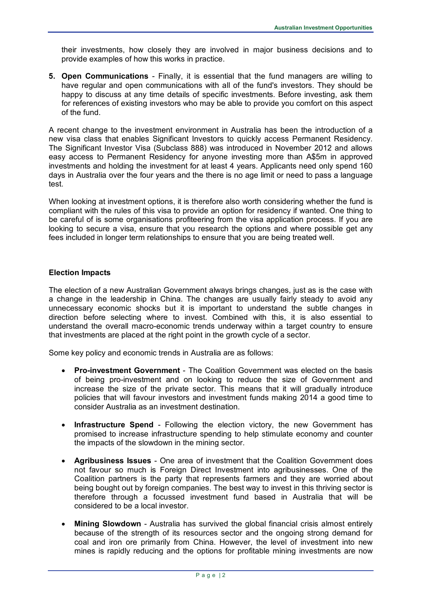their investments, how closely they are involved in major business decisions and to provide examples of how this works in practice.

**5. Open Communications** - Finally, it is essential that the fund managers are willing to have regular and open communications with all of the fund's investors. They should be happy to discuss at any time details of specific investments. Before investing, ask them for references of existing investors who may be able to provide you comfort on this aspect of the fund.

A recent change to the investment environment in Australia has been the introduction of a new visa class that enables Significant Investors to quickly access Permanent Residency. The Significant Investor Visa (Subclass 888) was introduced in November 2012 and allows easy access to Permanent Residency for anyone investing more than A\$5m in approved investments and holding the investment for at least 4 years. Applicants need only spend 160 days in Australia over the four years and the there is no age limit or need to pass a language test.

When looking at investment options, it is therefore also worth considering whether the fund is compliant with the rules of this visa to provide an option for residency if wanted. One thing to be careful of is some organisations profiteering from the visa application process. If you are looking to secure a visa, ensure that you research the options and where possible get any fees included in longer term relationships to ensure that you are being treated well.

### **Election Impacts**

The election of a new Australian Government always brings changes, just as is the case with a change in the leadership in China. The changes are usually fairly steady to avoid any unnecessary economic shocks but it is important to understand the subtle changes in direction before selecting where to invest. Combined with this, it is also essential to understand the overall macro-economic trends underway within a target country to ensure that investments are placed at the right point in the growth cycle of a sector.

Some key policy and economic trends in Australia are as follows:

- **Pro-investment Government** The Coalition Government was elected on the basis of being pro-investment and on looking to reduce the size of Government and increase the size of the private sector. This means that it will gradually introduce policies that will favour investors and investment funds making 2014 a good time to consider Australia as an investment destination.
- **Infrastructure Spend** Following the election victory, the new Government has promised to increase infrastructure spending to help stimulate economy and counter the impacts of the slowdown in the mining sector.
- **Agribusiness Issues** One area of investment that the Coalition Government does not favour so much is Foreign Direct Investment into agribusinesses. One of the Coalition partners is the party that represents farmers and they are worried about being bought out by foreign companies. The best way to invest in this thriving sector is therefore through a focussed investment fund based in Australia that will be considered to be a local investor.
- **Mining Slowdown** Australia has survived the global financial crisis almost entirely because of the strength of its resources sector and the ongoing strong demand for coal and iron ore primarily from China. However, the level of investment into new mines is rapidly reducing and the options for profitable mining investments are now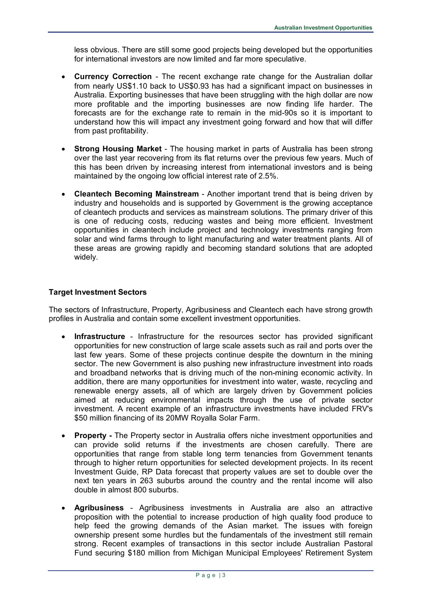less obvious. There are still some good projects being developed but the opportunities for international investors are now limited and far more speculative.

- **Currency Correction** The recent exchange rate change for the Australian dollar from nearly US\$1.10 back to US\$0.93 has had a significant impact on businesses in Australia. Exporting businesses that have been struggling with the high dollar are now more profitable and the importing businesses are now finding life harder. The forecasts are for the exchange rate to remain in the mid-90s so it is important to understand how this will impact any investment going forward and how that will differ from past profitability.
- **Strong Housing Market** The housing market in parts of Australia has been strong over the last year recovering from its flat returns over the previous few years. Much of this has been driven by increasing interest from international investors and is being maintained by the ongoing low official interest rate of 2.5%.
- **Cleantech Becoming Mainstream** Another important trend that is being driven by industry and households and is supported by Government is the growing acceptance of cleantech products and services as mainstream solutions. The primary driver of this is one of reducing costs, reducing wastes and being more efficient. Investment opportunities in cleantech include project and technology investments ranging from solar and wind farms through to light manufacturing and water treatment plants. All of these areas are growing rapidly and becoming standard solutions that are adopted widely.

### **Target Investment Sectors**

The sectors of Infrastructure, Property, Agribusiness and Cleantech each have strong growth profiles in Australia and contain some excellent investment opportunities.

- **Infrastructure**  Infrastructure for the resources sector has provided significant opportunities for new construction of large scale assets such as rail and ports over the last few years. Some of these projects continue despite the downturn in the mining sector. The new Government is also pushing new infrastructure investment into roads and broadband networks that is driving much of the non-mining economic activity. In addition, there are many opportunities for investment into water, waste, recycling and renewable energy assets, all of which are largely driven by Government policies aimed at reducing environmental impacts through the use of private sector investment. A recent example of an infrastructure investments have included FRV's \$50 million financing of its 20MW Royalla Solar Farm.
- **Property -** The Property sector in Australia offers niche investment opportunities and can provide solid returns if the investments are chosen carefully. There are opportunities that range from stable long term tenancies from Government tenants through to higher return opportunities for selected development projects. In its recent Investment Guide, RP Data forecast that property values are set to double over the next ten years in 263 suburbs around the country and the rental income will also double in almost 800 suburbs.
- **Agribusiness** Agribusiness investments in Australia are also an attractive proposition with the potential to increase production of high quality food produce to help feed the growing demands of the Asian market. The issues with foreign ownership present some hurdles but the fundamentals of the investment still remain strong. Recent examples of transactions in this sector include Australian Pastoral Fund securing \$180 million from Michigan Municipal Employees' Retirement System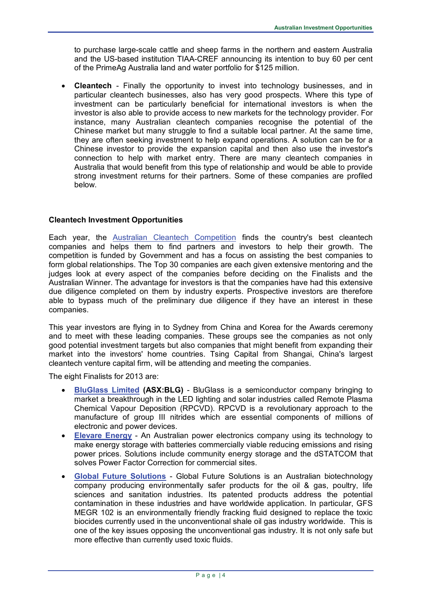to purchase large-scale cattle and sheep farms in the northern and eastern Australia and the US-based institution TIAA-CREF announcing its intention to buy 60 per cent of the PrimeAg Australia land and water portfolio for \$125 million.

• **Cleantech** - Finally the opportunity to invest into technology businesses, and in particular cleantech businesses, also has very good prospects. Where this type of investment can be particularly beneficial for international investors is when the investor is also able to provide access to new markets for the technology provider. For instance, many Australian cleantech companies recognise the potential of the Chinese market but many struggle to find a suitable local partner. At the same time, they are often seeking investment to help expand operations. A solution can be for a Chinese investor to provide the expansion capital and then also use the investor's connection to help with market entry. There are many cleantech companies in Australia that would benefit from this type of relationship and would be able to provide strong investment returns for their partners. Some of these companies are profiled below.

## **Cleantech Investment Opportunities**

Each year, the [Australian Cleantech Competition](http://www.cleantechcomp.com.au/) finds the country's best cleantech companies and helps them to find partners and investors to help their growth. The competition is funded by Government and has a focus on assisting the best companies to form global relationships. The Top 30 companies are each given extensive mentoring and the judges look at every aspect of the companies before deciding on the Finalists and the Australian Winner. The advantage for investors is that the companies have had this extensive due diligence completed on them by industry experts. Prospective investors are therefore able to bypass much of the preliminary due diligence if they have an interest in these companies.

This year investors are flying in to Sydney from China and Korea for the Awards ceremony and to meet with these leading companies. These groups see the companies as not only good potential investment targets but also companies that might benefit from expanding their market into the investors' home countries. Tsing Capital from Shangai, China's largest cleantech venture capital firm, will be attending and meeting the companies.

The eight Finalists for 2013 are:

- **[BluGlass Limited](http://www.bluglass.com.au/) (ASX:BLG)** BluGlass is a semiconductor company bringing to market a breakthrough in the LED lighting and solar industries called Remote Plasma Chemical Vapour Deposition (RPCVD). RPCVD is a revolutionary approach to the manufacture of group III nitrides which are essential components of millions of electronic and power devices.
- **[Elevare Energy](http://www.elevare-energy.com/)** An Australian power electronics company using its technology to make energy storage with batteries commercially viable reducing emissions and rising power prices. Solutions include community energy storage and the dSTATCOM that solves Power Factor Correction for commercial sites.
- **[Global Future Solutions](http://www.globalfuturesolutions.com/)** Global Future Solutions is an Australian biotechnology company producing environmentally safer products for the oil & gas, poultry, life sciences and sanitation industries. Its patented products address the potential contamination in these industries and have worldwide application. In particular, GFS MEGR 102 is an environmentally friendly fracking fluid designed to replace the toxic biocides currently used in the unconventional shale oil gas industry worldwide. This is one of the key issues opposing the unconventional gas industry. It is not only safe but more effective than currently used toxic fluids.